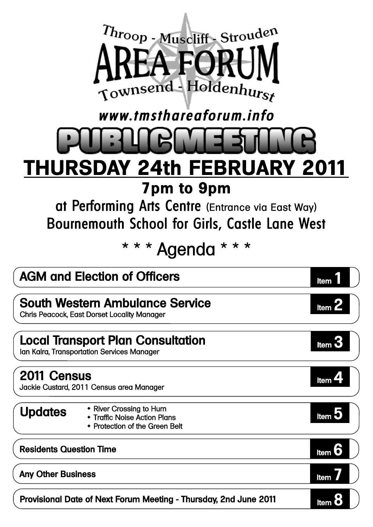

### www.tmsthareaforum.info

# **THURSDAY 24th FEBRUARY 2011 7pm to 9pm**

at Performing Arts Centre (Entrance via East Way) Bournemouth School for Girls, Castle Lane West

\* \* \* Agenda \* \* \*